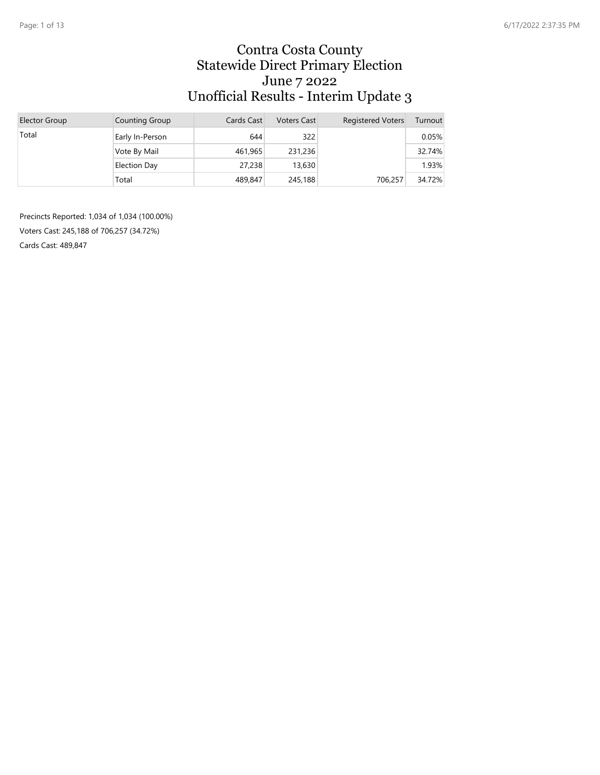#### Contra Costa County Statewide Direct Primary Election June 7 2022 Unofficial Results - Interim Update 3

| Elector Group | Counting Group  | Cards Cast | <b>Voters Cast</b> | <b>Registered Voters</b> | Turnout |
|---------------|-----------------|------------|--------------------|--------------------------|---------|
| Total         | Early In-Person | 644        | 322                |                          | 0.05%   |
|               | Vote By Mail    | 461,965    | 231,236            |                          | 32.74%  |
|               | Election Day    | 27,238     | 13,630             |                          | 1.93%   |
|               | Total           | 489,847    | 245,188            | 706.257                  | 34.72%  |

Precincts Reported: 1,034 of 1,034 (100.00%) Voters Cast: 245,188 of 706,257 (34.72%) Cards Cast: 489,847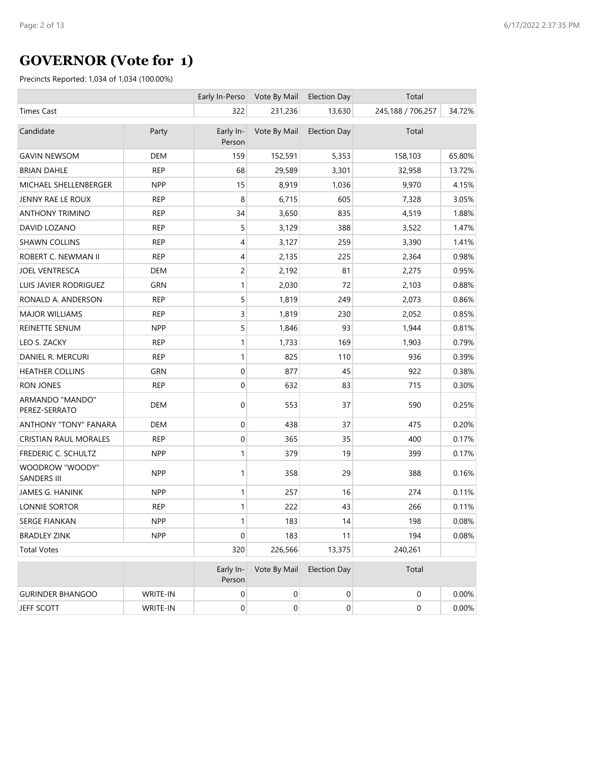# **GOVERNOR (Vote for 1)**

|                                       |            | Early In-Perso      | Vote By Mail     | <b>Election Day</b> | Total             |        |
|---------------------------------------|------------|---------------------|------------------|---------------------|-------------------|--------|
| <b>Times Cast</b>                     |            | 322                 | 231,236          | 13,630              | 245,188 / 706,257 | 34.72% |
| Candidate                             | Party      | Early In-<br>Person | Vote By Mail     | <b>Election Day</b> | Total             |        |
| <b>GAVIN NEWSOM</b>                   | <b>DEM</b> | 159                 | 152,591          | 5,353               | 158,103           | 65.80% |
| <b>BRIAN DAHLE</b>                    | <b>REP</b> | 68                  | 29,589           | 3,301               | 32,958            | 13.72% |
| MICHAEL SHELLENBERGER                 | <b>NPP</b> | 15                  | 8,919            | 1,036               | 9,970             | 4.15%  |
| JENNY RAE LE ROUX                     | <b>REP</b> | 8                   | 6,715            | 605                 | 7,328             | 3.05%  |
| <b>ANTHONY TRIMINO</b>                | <b>REP</b> | 34                  | 3,650            | 835                 | 4,519             | 1.88%  |
| DAVID LOZANO                          | <b>REP</b> | 5                   | 3,129            | 388                 | 3,522             | 1.47%  |
| <b>SHAWN COLLINS</b>                  | <b>REP</b> | 4                   | 3,127            | 259                 | 3,390             | 1.41%  |
| ROBERT C. NEWMAN II                   | <b>REP</b> | 4                   | 2,135            | 225                 | 2,364             | 0.98%  |
| <b>JOEL VENTRESCA</b>                 | <b>DEM</b> | 2                   | 2,192            | 81                  | 2,275             | 0.95%  |
| <b>LUIS JAVIER RODRIGUEZ</b>          | GRN        | $\mathbf{1}$        | 2,030            | 72                  | 2,103             | 0.88%  |
| RONALD A. ANDERSON                    | <b>REP</b> | 5                   | 1,819            | 249                 | 2,073             | 0.86%  |
| <b>MAJOR WILLIAMS</b>                 | <b>REP</b> | 3                   | 1,819            | 230                 | 2,052             | 0.85%  |
| REINETTE SENUM                        | <b>NPP</b> | 5                   | 1,846            | 93                  | 1,944             | 0.81%  |
| LEO S. ZACKY                          | <b>REP</b> | 1                   | 1,733            | 169                 | 1,903             | 0.79%  |
| DANIEL R. MERCURI                     | <b>REP</b> | 1                   | 825              | 110                 | 936               | 0.39%  |
| <b>HEATHER COLLINS</b>                | <b>GRN</b> | 0                   | 877              | 45                  | 922               | 0.38%  |
| <b>RON JONES</b>                      | <b>REP</b> | 0                   | 632              | 83                  | 715               | 0.30%  |
| ARMANDO "MANDO"<br>PEREZ-SERRATO      | DEM        | 0                   | 553              | 37                  | 590               | 0.25%  |
| ANTHONY "TONY" FANARA                 | <b>DEM</b> | 0                   | 438              | 37                  | 475               | 0.20%  |
| <b>CRISTIAN RAUL MORALES</b>          | <b>REP</b> | 0                   | 365              | 35                  | 400               | 0.17%  |
| FREDERIC C. SCHULTZ                   | <b>NPP</b> | 1                   | 379              | 19                  | 399               | 0.17%  |
| WOODROW "WOODY"<br><b>SANDERS III</b> | <b>NPP</b> | 1                   | 358              | 29                  | 388               | 0.16%  |
| JAMES G. HANINK                       | <b>NPP</b> | 1                   | 257              | 16                  | 274               | 0.11%  |
| <b>LONNIE SORTOR</b>                  | <b>REP</b> | 1                   | 222              | 43                  | 266               | 0.11%  |
| <b>SERGE FIANKAN</b>                  | <b>NPP</b> | 1                   | 183              | 14                  | 198               | 0.08%  |
| <b>BRADLEY ZINK</b>                   | <b>NPP</b> | 0                   | 183              | 11                  | 194               | 0.08%  |
| <b>Total Votes</b>                    |            | 320                 | 226,566          | 13,375              | 240,261           |        |
|                                       |            | Early In-<br>Person | Vote By Mail     | <b>Election Day</b> | Total             |        |
| <b>GURINDER BHANGOO</b>               | WRITE-IN   | 0                   | 0                | $\pmb{0}$           | $\boldsymbol{0}$  | 0.00%  |
| JEFF SCOTT                            | WRITE-IN   | $\mathbf 0$         | $\boldsymbol{0}$ | 0                   | $\boldsymbol{0}$  | 0.00%  |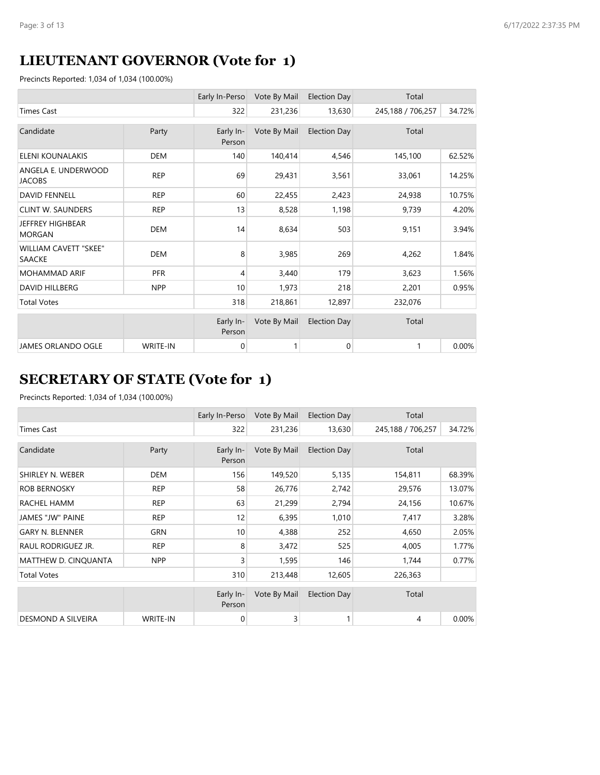# **LIEUTENANT GOVERNOR (Vote for 1)**

Precincts Reported: 1,034 of 1,034 (100.00%)

|                                          |            | Early In-Perso      | Vote By Mail | Election Day        | Total             |        |
|------------------------------------------|------------|---------------------|--------------|---------------------|-------------------|--------|
| <b>Times Cast</b>                        |            | 322                 | 231,236      | 13,630              | 245,188 / 706,257 | 34.72% |
| Candidate                                | Party      | Early In-<br>Person | Vote By Mail | <b>Election Day</b> | Total             |        |
| <b>ELENI KOUNALAKIS</b>                  | <b>DEM</b> | 140                 | 140,414      | 4,546               | 145,100           | 62.52% |
| ANGELA E. UNDERWOOD<br><b>JACOBS</b>     | <b>REP</b> | 69                  | 29,431       | 3,561               | 33,061            | 14.25% |
| <b>DAVID FENNELL</b>                     | <b>REP</b> | 60                  | 22,455       | 2,423               | 24,938            | 10.75% |
| <b>CLINT W. SAUNDERS</b>                 | <b>REP</b> | 13                  | 8,528        | 1,198               | 9,739             | 4.20%  |
| <b>JEFFREY HIGHBEAR</b><br><b>MORGAN</b> | <b>DEM</b> | 14                  | 8,634        | 503                 | 9,151             | 3.94%  |
| <b>WILLIAM CAVETT "SKEE"</b><br>SAACKE   | <b>DEM</b> | 8                   | 3,985        | 269                 | 4,262             | 1.84%  |
| <b>MOHAMMAD ARIF</b>                     | <b>PFR</b> | 4                   | 3,440        | 179                 | 3,623             | 1.56%  |
| <b>DAVID HILLBERG</b>                    | <b>NPP</b> | 10                  | 1,973        | 218                 | 2,201             | 0.95%  |
| <b>Total Votes</b>                       |            | 318                 | 218,861      | 12,897              | 232,076           |        |
|                                          |            | Early In-<br>Person | Vote By Mail | <b>Election Day</b> | Total             |        |
| JAMES ORLANDO OGLE                       | WRITE-IN   | 0                   |              | $\overline{0}$      | 1                 | 0.00%  |

# **SECRETARY OF STATE (Vote for 1)**

|                        |                 | Early In-Perso      | Vote By Mail | <b>Election Day</b> | Total             |        |
|------------------------|-----------------|---------------------|--------------|---------------------|-------------------|--------|
| <b>Times Cast</b>      |                 | 322                 | 231,236      | 13,630              | 245,188 / 706,257 | 34.72% |
| Candidate              | Party           | Early In-<br>Person | Vote By Mail | <b>Election Day</b> | Total             |        |
| SHIRLEY N. WEBER       | <b>DEM</b>      | 156                 | 149,520      | 5,135               | 154,811           | 68.39% |
| <b>ROB BERNOSKY</b>    | <b>REP</b>      | 58                  | 26,776       | 2,742               | 29,576            | 13.07% |
| RACHEL HAMM            | <b>REP</b>      | 63                  | 21,299       | 2,794               | 24,156            | 10.67% |
| JAMES "JW" PAINE       | <b>REP</b>      | 12                  | 6,395        | 1,010               | 7,417             | 3.28%  |
| <b>GARY N. BLENNER</b> | <b>GRN</b>      | 10                  | 4,388        | 252                 | 4,650             | 2.05%  |
| RAUL RODRIGUEZ JR.     | <b>REP</b>      | 8                   | 3,472        | 525                 | 4,005             | 1.77%  |
| MATTHEW D. CINQUANTA   | <b>NPP</b>      | 3                   | 1,595        | 146                 | 1,744             | 0.77%  |
| <b>Total Votes</b>     |                 | 310                 | 213,448      | 12,605              | 226,363           |        |
|                        |                 | Early In-<br>Person | Vote By Mail | <b>Election Day</b> | Total             |        |
| DESMOND A SILVEIRA     | <b>WRITE-IN</b> | 0                   | 3            |                     | 4                 | 0.00%  |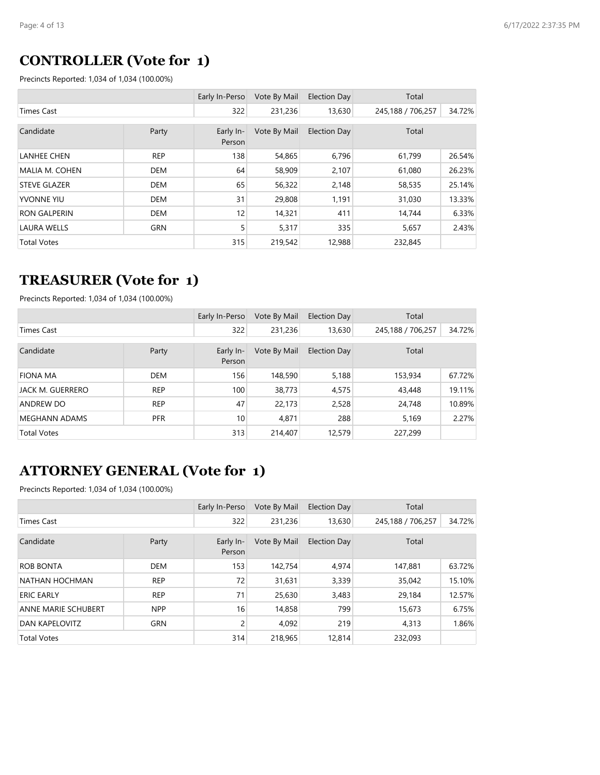### **CONTROLLER (Vote for 1)**

Precincts Reported: 1,034 of 1,034 (100.00%)

|                       |            | Early In-Perso      | Vote By Mail | <b>Election Day</b> | Total             |        |
|-----------------------|------------|---------------------|--------------|---------------------|-------------------|--------|
| Times Cast            |            | 322                 | 231,236      | 13,630              | 245,188 / 706,257 | 34.72% |
| Candidate             | Party      | Early In-<br>Person | Vote By Mail | <b>Election Day</b> | Total             |        |
| <b>LANHEE CHEN</b>    | <b>REP</b> | 138                 | 54,865       | 6,796               | 61,799            | 26.54% |
| <b>MALIA M. COHEN</b> | <b>DEM</b> | 64                  | 58,909       | 2,107               | 61,080            | 26.23% |
| <b>STEVE GLAZER</b>   | <b>DEM</b> | 65                  | 56,322       | 2,148               | 58,535            | 25.14% |
| <b>YVONNE YIU</b>     | <b>DEM</b> | 31                  | 29,808       | 1,191               | 31,030            | 13.33% |
| <b>RON GALPERIN</b>   | <b>DEM</b> | 12                  | 14,321       | 411                 | 14,744            | 6.33%  |
| <b>LAURA WELLS</b>    | <b>GRN</b> | 5                   | 5,317        | 335                 | 5,657             | 2.43%  |
| <b>Total Votes</b>    |            | 315                 | 219,542      | 12,988              | 232,845           |        |

#### **TREASURER (Vote for 1)**

Precincts Reported: 1,034 of 1,034 (100.00%)

|                      |            | Early In-Perso      | Vote By Mail | Election Day | Total             |        |
|----------------------|------------|---------------------|--------------|--------------|-------------------|--------|
| Times Cast           |            | 322                 | 231,236      | 13,630       | 245,188 / 706,257 | 34.72% |
| Candidate            | Party      | Early In-<br>Person | Vote By Mail | Election Day | Total             |        |
| <b>FIONA MA</b>      | <b>DEM</b> | 156                 | 148,590      | 5,188        | 153,934           | 67.72% |
| JACK M. GUERRERO     | <b>REP</b> | 100                 | 38,773       | 4,575        | 43,448            | 19.11% |
| ANDREW DO            | <b>REP</b> | 47                  | 22,173       | 2,528        | 24,748            | 10.89% |
| <b>MEGHANN ADAMS</b> | <b>PFR</b> | 10                  | 4,871        | 288          | 5,169             | 2.27%  |
| <b>Total Votes</b>   |            | 313                 | 214,407      | 12,579       | 227,299           |        |

# **ATTORNEY GENERAL (Vote for 1)**

|                            |            | Early In-Perso      | Vote By Mail | <b>Election Day</b> | Total             |        |
|----------------------------|------------|---------------------|--------------|---------------------|-------------------|--------|
| Times Cast                 |            | 322                 | 231,236      | 13,630              | 245,188 / 706,257 | 34.72% |
| Candidate                  | Party      | Early In-<br>Person | Vote By Mail | <b>Election Day</b> | Total             |        |
| ROB BONTA                  | <b>DEM</b> | 153                 | 142,754      | 4,974               | 147.881           | 63.72% |
| NATHAN HOCHMAN             | <b>REP</b> | 72                  | 31,631       | 3,339               | 35,042            | 15.10% |
| <b>ERIC EARLY</b>          | <b>REP</b> | 71                  | 25,630       | 3,483               | 29,184            | 12.57% |
| <b>ANNE MARIE SCHUBERT</b> | <b>NPP</b> | 16                  | 14,858       | 799                 | 15,673            | 6.75%  |
| DAN KAPELOVITZ             | <b>GRN</b> | 2                   | 4,092        | 219                 | 4,313             | 1.86%  |
| <b>Total Votes</b>         |            | 314                 | 218,965      | 12,814              | 232,093           |        |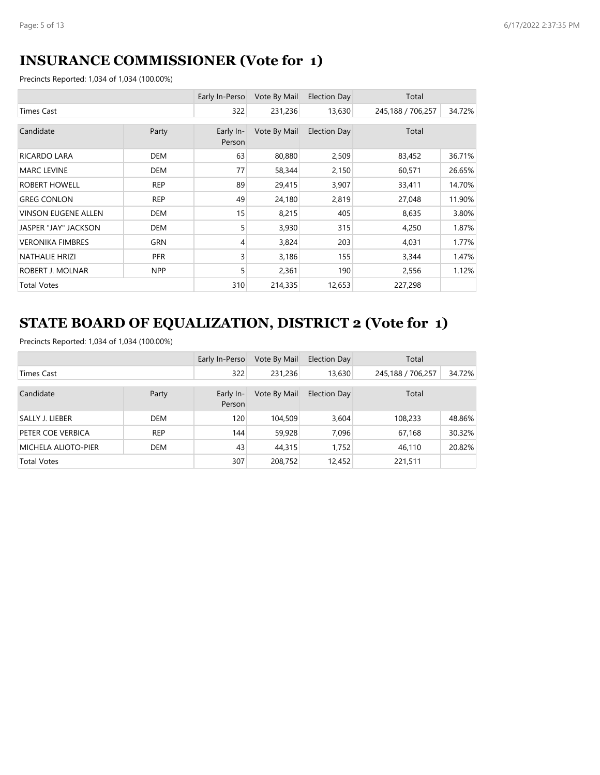## **INSURANCE COMMISSIONER (Vote for 1)**

Precincts Reported: 1,034 of 1,034 (100.00%)

|                            |            | Early In-Perso      | Vote By Mail | Election Day | Total             |        |
|----------------------------|------------|---------------------|--------------|--------------|-------------------|--------|
| <b>Times Cast</b>          |            | 322                 | 231,236      | 13,630       | 245,188 / 706,257 | 34.72% |
| Candidate                  | Party      | Early In-<br>Person | Vote By Mail | Election Day | Total             |        |
| <b>RICARDO LARA</b>        | <b>DEM</b> | 63                  | 80,880       | 2,509        | 83,452            | 36.71% |
| <b>MARC LEVINE</b>         | <b>DEM</b> | 77                  | 58,344       | 2,150        | 60,571            | 26.65% |
| ROBERT HOWELL              | <b>REP</b> | 89                  | 29,415       | 3,907        | 33,411            | 14.70% |
| <b>GREG CONLON</b>         | <b>REP</b> | 49                  | 24,180       | 2,819        | 27,048            | 11.90% |
| <b>VINSON EUGENE ALLEN</b> | <b>DEM</b> | 15                  | 8,215        | 405          | 8,635             | 3.80%  |
| JASPER "JAY" JACKSON       | DEM        | 5                   | 3,930        | 315          | 4,250             | 1.87%  |
| <b>VERONIKA FIMBRES</b>    | <b>GRN</b> | 4                   | 3,824        | 203          | 4,031             | 1.77%  |
| <b>NATHALIE HRIZI</b>      | <b>PFR</b> | 3                   | 3,186        | 155          | 3,344             | 1.47%  |
| ROBERT J. MOLNAR           | <b>NPP</b> | 5                   | 2,361        | 190          | 2,556             | 1.12%  |
| <b>Total Votes</b>         |            | 310                 | 214,335      | 12,653       | 227,298           |        |

# **STATE BOARD OF EQUALIZATION, DISTRICT 2 (Vote for 1)**

|                            |            | Early In-Perso      | Vote By Mail | Election Day | Total             |        |
|----------------------------|------------|---------------------|--------------|--------------|-------------------|--------|
| Times Cast                 |            | 322                 | 231,236      | 13,630       | 245,188 / 706,257 | 34.72% |
| Candidate                  | Party      | Early In-<br>Person | Vote By Mail | Election Day | Total             |        |
| SALLY J. LIEBER            | <b>DEM</b> | 120                 | 104,509      | 3,604        | 108,233           | 48.86% |
| PETER COE VERBICA          | <b>REP</b> | 144                 | 59,928       | 7,096        | 67,168            | 30.32% |
| <b>MICHELA ALIOTO-PIER</b> | <b>DEM</b> | 43                  | 44,315       | 1,752        | 46,110            | 20.82% |
| <b>Total Votes</b>         |            | 307                 | 208,752      | 12,452       | 221,511           |        |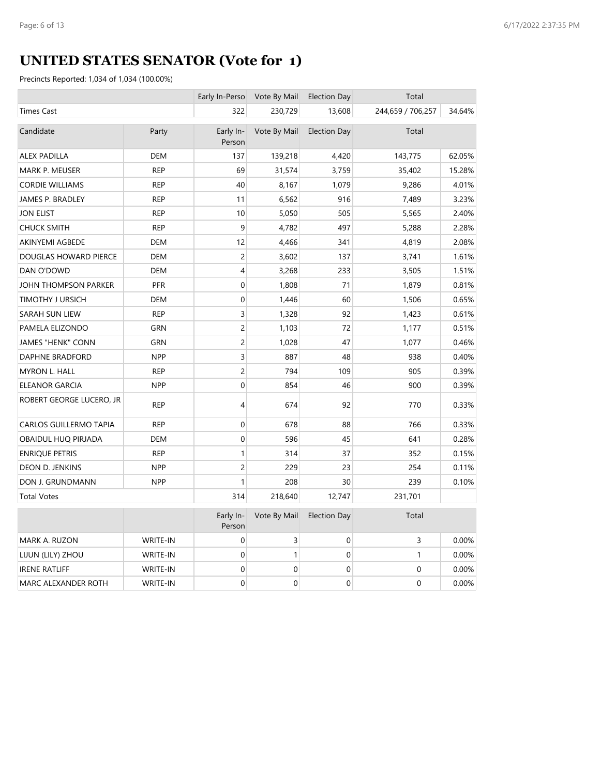# **UNITED STATES SENATOR (Vote for 1)**

|                               |                 | Early In-Perso      | Vote By Mail     | <b>Election Day</b> | Total             |        |
|-------------------------------|-----------------|---------------------|------------------|---------------------|-------------------|--------|
| <b>Times Cast</b>             |                 | 322                 | 230,729          | 13,608              | 244,659 / 706,257 | 34.64% |
| Candidate                     | Party           | Early In-<br>Person | Vote By Mail     | <b>Election Day</b> | Total             |        |
| <b>ALEX PADILLA</b>           | <b>DEM</b>      | 137                 | 139,218          | 4,420               | 143,775           | 62.05% |
| MARK P. MEUSER                | <b>REP</b>      | 69                  | 31,574           | 3,759               | 35,402            | 15.28% |
| <b>CORDIE WILLIAMS</b>        | <b>REP</b>      | 40                  | 8,167            | 1,079               | 9,286             | 4.01%  |
| JAMES P. BRADLEY              | <b>REP</b>      | 11                  | 6,562            | 916                 | 7,489             | 3.23%  |
| <b>JON ELIST</b>              | <b>REP</b>      | 10                  | 5,050            | 505                 | 5,565             | 2.40%  |
| <b>CHUCK SMITH</b>            | <b>REP</b>      | 9                   | 4,782            | 497                 | 5,288             | 2.28%  |
| AKINYEMI AGBEDE               | <b>DEM</b>      | 12                  | 4,466            | 341                 | 4,819             | 2.08%  |
| DOUGLAS HOWARD PIERCE         | <b>DEM</b>      | $\overline{c}$      | 3,602            | 137                 | 3,741             | 1.61%  |
| DAN O'DOWD                    | <b>DEM</b>      | 4                   | 3,268            | 233                 | 3,505             | 1.51%  |
| JOHN THOMPSON PARKER          | <b>PFR</b>      | $\boldsymbol{0}$    | 1,808            | 71                  | 1,879             | 0.81%  |
| TIMOTHY J URSICH              | <b>DEM</b>      | $\boldsymbol{0}$    | 1,446            | 60                  | 1,506             | 0.65%  |
| SARAH SUN LIEW                | <b>REP</b>      | 3                   | 1,328            | 92                  | 1,423             | 0.61%  |
| PAMELA ELIZONDO               | <b>GRN</b>      | $\overline{c}$      | 1,103            | 72                  | 1,177             | 0.51%  |
| <b>JAMES "HENK" CONN</b>      | <b>GRN</b>      | $\overline{c}$      | 1,028            | 47                  | 1,077             | 0.46%  |
| DAPHNE BRADFORD               | <b>NPP</b>      | 3                   | 887              | 48                  | 938               | 0.40%  |
| MYRON L. HALL                 | <b>REP</b>      | $\overline{c}$      | 794              | 109                 | 905               | 0.39%  |
| ELEANOR GARCIA                | <b>NPP</b>      | $\boldsymbol{0}$    | 854              | 46                  | 900               | 0.39%  |
| ROBERT GEORGE LUCERO, JR      | <b>REP</b>      | 4                   | 674              | 92                  | 770               | 0.33%  |
| <b>CARLOS GUILLERMO TAPIA</b> | <b>REP</b>      | $\mathbf 0$         | 678              | 88                  | 766               | 0.33%  |
| OBAIDUL HUQ PIRJADA           | <b>DEM</b>      | $\mathbf 0$         | 596              | 45                  | 641               | 0.28%  |
| <b>ENRIQUE PETRIS</b>         | <b>REP</b>      | $\mathbf{1}$        | 314              | 37                  | 352               | 0.15%  |
| DEON D. JENKINS               | <b>NPP</b>      | $\overline{c}$      | 229              | 23                  | 254               | 0.11%  |
| DON J. GRUNDMANN              | <b>NPP</b>      | 1                   | 208              | 30                  | 239               | 0.10%  |
| <b>Total Votes</b>            |                 | 314                 | 218,640          | 12,747              | 231,701           |        |
|                               |                 | Early In-<br>Person | Vote By Mail     | <b>Election Day</b> | Total             |        |
| MARK A. RUZON                 | WRITE-IN        | $\boldsymbol{0}$    | 3                | $\boldsymbol{0}$    | 3                 | 0.00%  |
| LIJUN (LILY) ZHOU             | WRITE-IN        | $\mathbf 0$         | $\mathbf{1}$     | $\Omega$            | $\mathbf{1}$      | 0.00%  |
| <b>IRENE RATLIFF</b>          | WRITE-IN        | 0                   | $\mathbf 0$      | $\mathbf 0$         | $\mathbf 0$       | 0.00%  |
| MARC ALEXANDER ROTH           | <b>WRITE-IN</b> | $\boldsymbol{0}$    | $\boldsymbol{0}$ | $\mathbf 0$         | $\mathbf 0$       | 0.00%  |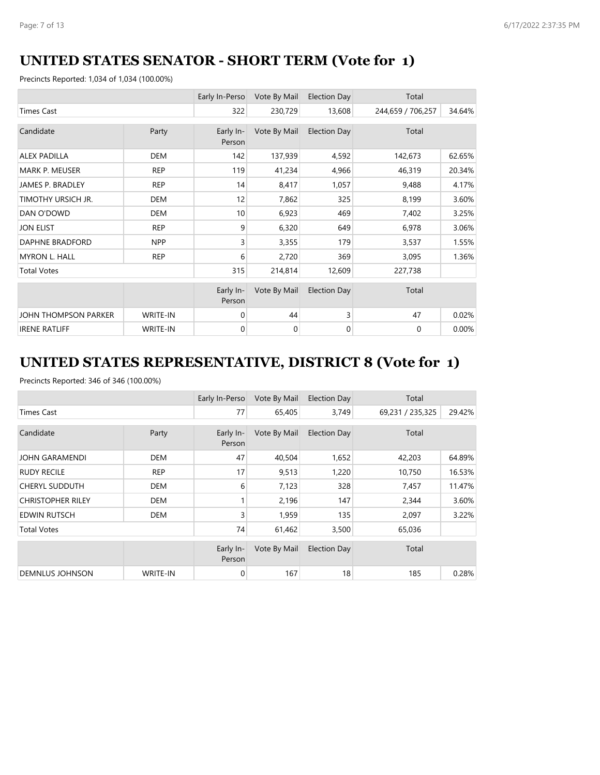## **UNITED STATES SENATOR - SHORT TERM (Vote for 1)**

Precincts Reported: 1,034 of 1,034 (100.00%)

|                        |                 | Early In-Perso      | Vote By Mail | Election Day        | Total             |        |
|------------------------|-----------------|---------------------|--------------|---------------------|-------------------|--------|
| <b>Times Cast</b>      |                 | 322                 | 230,729      | 13,608              | 244,659 / 706,257 | 34.64% |
| Candidate              | Party           | Early In-<br>Person | Vote By Mail | <b>Election Day</b> | Total             |        |
| <b>ALEX PADILLA</b>    | <b>DEM</b>      | 142                 | 137,939      | 4,592               | 142,673           | 62.65% |
| <b>MARK P. MEUSER</b>  | <b>REP</b>      | 119                 | 41,234       | 4,966               | 46,319            | 20.34% |
| JAMES P. BRADLEY       | <b>REP</b>      | 14                  | 8,417        | 1,057               | 9,488             | 4.17%  |
| TIMOTHY URSICH JR.     | <b>DEM</b>      | 12                  | 7,862        | 325                 | 8,199             | 3.60%  |
| DAN O'DOWD             | <b>DEM</b>      | 10                  | 6,923        | 469                 | 7,402             | 3.25%  |
| <b>JON ELIST</b>       | <b>REP</b>      | 9                   | 6,320        | 649                 | 6,978             | 3.06%  |
| <b>DAPHNE BRADFORD</b> | <b>NPP</b>      | 3                   | 3,355        | 179                 | 3,537             | 1.55%  |
| <b>MYRON L. HALL</b>   | <b>REP</b>      | 6                   | 2,720        | 369                 | 3,095             | 1.36%  |
| <b>Total Votes</b>     |                 | 315                 | 214,814      | 12,609              | 227,738           |        |
|                        |                 | Early In-<br>Person | Vote By Mail | <b>Election Day</b> | Total             |        |
| JOHN THOMPSON PARKER   | <b>WRITE-IN</b> | 0                   | 44           | 3                   | 47                | 0.02%  |
| <b>IRENE RATLIFF</b>   | <b>WRITE-IN</b> | 0                   | 0            | $\mathbf 0$         | 0                 | 0.00%  |

# **UNITED STATES REPRESENTATIVE, DISTRICT 8 (Vote for 1)**

|                          |                 | Early In-Perso      | Vote By Mail | <b>Election Day</b> | Total            |        |
|--------------------------|-----------------|---------------------|--------------|---------------------|------------------|--------|
| <b>Times Cast</b>        |                 | 77                  | 65,405       | 3,749               | 69,231 / 235,325 | 29.42% |
| Candidate                | Party           | Early In-<br>Person | Vote By Mail | <b>Election Day</b> | Total            |        |
| JOHN GARAMENDI           | <b>DEM</b>      | 47                  | 40,504       | 1,652               | 42,203           | 64.89% |
| <b>RUDY RECILE</b>       | <b>REP</b>      | 17                  | 9,513        | 1,220               | 10,750           | 16.53% |
| <b>CHERYL SUDDUTH</b>    | <b>DEM</b>      | 6                   | 7,123        | 328                 | 7,457            | 11.47% |
| <b>CHRISTOPHER RILEY</b> | <b>DEM</b>      | 1                   | 2,196        | 147                 | 2,344            | 3.60%  |
| <b>EDWIN RUTSCH</b>      | <b>DEM</b>      | 3                   | 1,959        | 135                 | 2,097            | 3.22%  |
| <b>Total Votes</b>       |                 | 74                  | 61,462       | 3,500               | 65,036           |        |
|                          |                 | Early In-<br>Person | Vote By Mail | <b>Election Day</b> | Total            |        |
| <b>DEMNLUS JOHNSON</b>   | <b>WRITE-IN</b> | 0                   | 167          | 18                  | 185              | 0.28%  |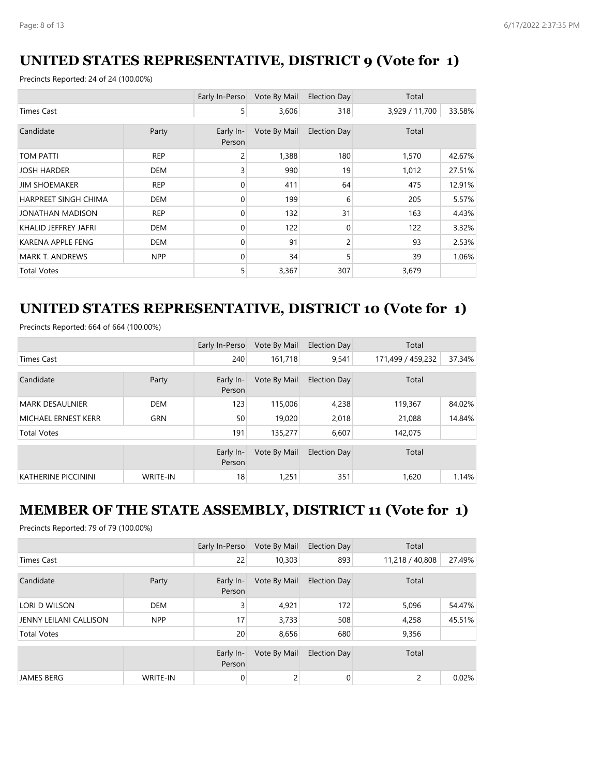## **UNITED STATES REPRESENTATIVE, DISTRICT 9 (Vote for 1)**

Precincts Reported: 24 of 24 (100.00%)

|                          |            | Early In-Perso      | Vote By Mail | Election Day | Total          |        |
|--------------------------|------------|---------------------|--------------|--------------|----------------|--------|
| <b>Times Cast</b>        |            | 5                   | 3,606        | 318          | 3,929 / 11,700 | 33.58% |
| Candidate                | Party      | Early In-<br>Person | Vote By Mail | Election Day | Total          |        |
| <b>TOM PATTI</b>         | <b>REP</b> | 2                   | 1,388        | 180          | 1,570          | 42.67% |
| <b>JOSH HARDER</b>       | <b>DEM</b> | 3                   | 990          | 19           | 1,012          | 27.51% |
| <b>JIM SHOEMAKER</b>     | <b>REP</b> | 0                   | 411          | 64           | 475            | 12.91% |
| HARPREET SINGH CHIMA     | <b>DEM</b> | 0                   | 199          | 6            | 205            | 5.57%  |
| <b>JONATHAN MADISON</b>  | <b>REP</b> | 0                   | 132          | 31           | 163            | 4.43%  |
| KHALID JEFFREY JAFRI     | <b>DEM</b> | 0                   | 122          | $\Omega$     | 122            | 3.32%  |
| <b>KARENA APPLE FENG</b> | <b>DEM</b> | 0                   | 91           | 2            | 93             | 2.53%  |
| <b>MARK T. ANDREWS</b>   | <b>NPP</b> | 0                   | 34           | 5            | 39             | 1.06%  |
| <b>Total Votes</b>       |            | 5                   | 3,367        | 307          | 3,679          |        |

# **UNITED STATES REPRESENTATIVE, DISTRICT 10 (Vote for 1)**

Precincts Reported: 664 of 664 (100.00%)

|                        |                 | Early In-Perso      | Vote By Mail | <b>Election Day</b> | Total             |        |
|------------------------|-----------------|---------------------|--------------|---------------------|-------------------|--------|
| <b>Times Cast</b>      |                 | 240                 | 161,718      | 9,541               | 171,499 / 459,232 | 37.34% |
| Candidate              | Party           | Early In-<br>Person | Vote By Mail | Election Day        | Total             |        |
| <b>MARK DESAULNIER</b> | <b>DEM</b>      | 123                 | 115,006      | 4,238               | 119,367           | 84.02% |
| MICHAEL ERNEST KERR    | <b>GRN</b>      | 50                  | 19,020       | 2,018               | 21.088            | 14.84% |
| <b>Total Votes</b>     |                 | 191                 | 135,277      | 6,607               | 142,075           |        |
|                        |                 | Early In-<br>Person | Vote By Mail | <b>Election Day</b> | Total             |        |
| KATHERINE PICCININI    | <b>WRITE-IN</b> | 18                  | 1,251        | 351                 | 1,620             | 1.14%  |

### **MEMBER OF THE STATE ASSEMBLY, DISTRICT 11 (Vote for 1)**

Precincts Reported: 79 of 79 (100.00%)

|                               |                 | Early In-Perso      | Vote By Mail | <b>Election Day</b> | Total           |        |
|-------------------------------|-----------------|---------------------|--------------|---------------------|-----------------|--------|
| Times Cast                    |                 | 22                  | 10,303       | 893                 | 11,218 / 40,808 | 27.49% |
| Candidate                     | Party           | Early In-<br>Person | Vote By Mail | <b>Election Day</b> | Total           |        |
| LORI D WILSON                 | <b>DEM</b>      | 3                   | 4,921        | 172                 | 5,096           | 54.47% |
| <b>JENNY LEILANI CALLISON</b> | <b>NPP</b>      | 17                  | 3,733        | 508                 | 4,258           | 45.51% |
| <b>Total Votes</b>            |                 | 20                  | 8,656        | 680                 | 9,356           |        |
|                               |                 | Early In-<br>Person | Vote By Mail | <b>Election Day</b> | Total           |        |
| <b>JAMES BERG</b>             | <b>WRITE-IN</b> | 0                   | 2            | $\mathbf{0}$        | 2               | 0.02%  |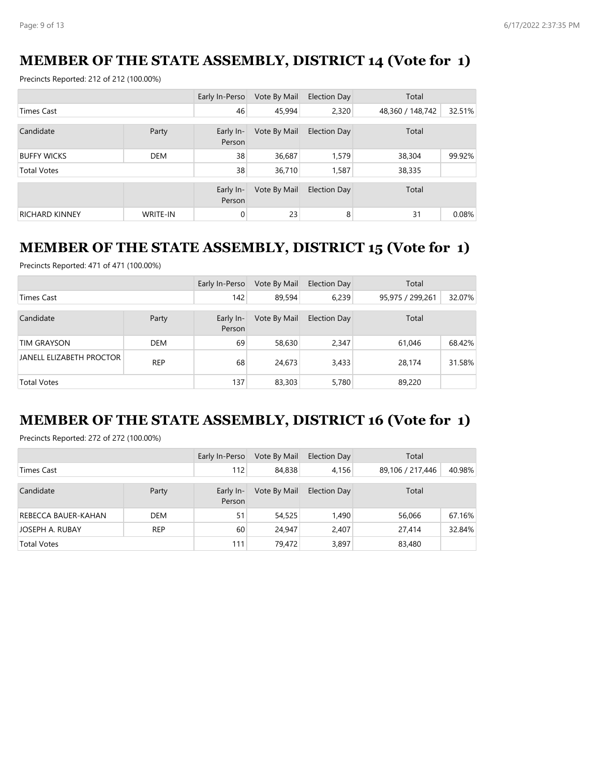## **MEMBER OF THE STATE ASSEMBLY, DISTRICT 14 (Vote for 1)**

Precincts Reported: 212 of 212 (100.00%)

|                       |                 | Early In-Perso      | Vote By Mail | Election Day        | Total            |        |
|-----------------------|-----------------|---------------------|--------------|---------------------|------------------|--------|
| <b>Times Cast</b>     |                 | 46                  | 45,994       | 2,320               | 48,360 / 148,742 | 32.51% |
| Candidate             | Party           | Early In-<br>Person | Vote By Mail | <b>Election Day</b> | Total            |        |
| <b>BUFFY WICKS</b>    | <b>DEM</b>      | 38                  | 36,687       | 1,579               | 38,304           | 99.92% |
| <b>Total Votes</b>    |                 | 38                  | 36,710       | 1,587               | 38,335           |        |
|                       |                 | Early In-<br>Person | Vote By Mail | <b>Election Day</b> | Total            |        |
| <b>RICHARD KINNEY</b> | <b>WRITE-IN</b> | 0                   | 23           | 8                   | 31               | 0.08%  |

#### **MEMBER OF THE STATE ASSEMBLY, DISTRICT 15 (Vote for 1)**

Precincts Reported: 471 of 471 (100.00%)

|                          |            | Early In-Perso      | Vote By Mail | Election Day | Total            |        |
|--------------------------|------------|---------------------|--------------|--------------|------------------|--------|
| Times Cast               |            | 142                 | 89,594       | 6,239        | 95,975 / 299,261 | 32.07% |
| Candidate                | Party      | Early In-<br>Person | Vote By Mail | Election Day | Total            |        |
| <b>TIM GRAYSON</b>       | <b>DEM</b> | 69                  | 58,630       | 2,347        | 61,046           | 68.42% |
| JANELL ELIZABETH PROCTOR | <b>REP</b> | 68                  | 24,673       | 3,433        | 28,174           | 31.58% |
| <b>Total Votes</b>       |            | 137                 | 83,303       | 5,780        | 89,220           |        |

# **MEMBER OF THE STATE ASSEMBLY, DISTRICT 16 (Vote for 1)**

Precincts Reported: 272 of 272 (100.00%)

|                     |            | Early In-Perso      | Vote By Mail | <b>Election Day</b> | Total            |        |
|---------------------|------------|---------------------|--------------|---------------------|------------------|--------|
| Times Cast          |            | 112                 | 84,838       | 4,156               | 89,106 / 217,446 | 40.98% |
| Candidate           | Party      | Early In-<br>Person | Vote By Mail | <b>Election Day</b> | Total            |        |
| REBECCA BAUER-KAHAN | <b>DEM</b> | 51                  | 54,525       | 1.490               | 56,066           | 67.16% |
| JOSEPH A. RUBAY     | <b>REP</b> | 60                  | 24,947       | 2,407               | 27,414           | 32.84% |
| <b>Total Votes</b>  |            | 111                 | 79,472       | 3,897               | 83,480           |        |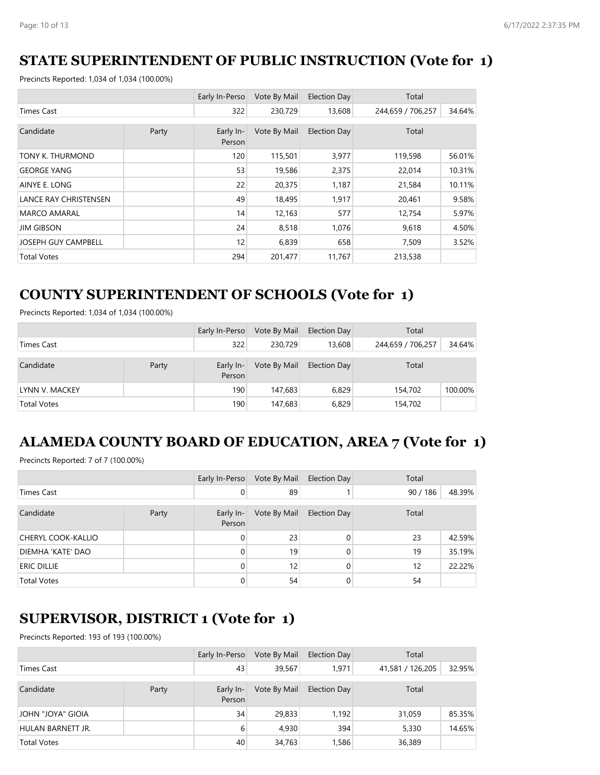## **STATE SUPERINTENDENT OF PUBLIC INSTRUCTION (Vote for 1)**

Precincts Reported: 1,034 of 1,034 (100.00%)

|                              |       | Early In-Perso      | Vote By Mail | <b>Election Day</b> | Total             |        |
|------------------------------|-------|---------------------|--------------|---------------------|-------------------|--------|
| <b>Times Cast</b>            |       | 322                 | 230,729      | 13,608              | 244,659 / 706,257 | 34.64% |
| Candidate                    | Party | Early In-<br>Person | Vote By Mail | <b>Election Day</b> | Total             |        |
| TONY K. THURMOND             |       | 120                 | 115,501      | 3,977               | 119,598           | 56.01% |
| <b>GEORGE YANG</b>           |       | 53                  | 19,586       | 2,375               | 22,014            | 10.31% |
| AINYE E. LONG                |       | 22                  | 20,375       | 1,187               | 21,584            | 10.11% |
| <b>LANCE RAY CHRISTENSEN</b> |       | 49                  | 18,495       | 1,917               | 20,461            | 9.58%  |
| <b>MARCO AMARAL</b>          |       | 14                  | 12,163       | 577                 | 12,754            | 5.97%  |
| <b>JIM GIBSON</b>            |       | 24                  | 8,518        | 1,076               | 9,618             | 4.50%  |
| <b>JOSEPH GUY CAMPBELL</b>   |       | 12                  | 6,839        | 658                 | 7,509             | 3.52%  |
| <b>Total Votes</b>           |       | 294                 | 201,477      | 11,767              | 213,538           |        |

## **COUNTY SUPERINTENDENT OF SCHOOLS (Vote for 1)**

Precincts Reported: 1,034 of 1,034 (100.00%)

|                    |       | Early In-Perso      | Vote By Mail | <b>Election Day</b> | Total             |         |
|--------------------|-------|---------------------|--------------|---------------------|-------------------|---------|
| Times Cast         |       | 322                 | 230.729      | 13,608              | 244,659 / 706,257 | 34.64%  |
| Candidate          | Party | Early In-<br>Person | Vote By Mail | <b>Election Day</b> | Total             |         |
| LYNN V. MACKEY     |       | 190                 | 147,683      | 6,829               | 154,702           | 100.00% |
| <b>Total Votes</b> |       | 190                 | 147,683      | 6,829               | 154,702           |         |

# **ALAMEDA COUNTY BOARD OF EDUCATION, AREA 7 (Vote for 1)**

Precincts Reported: 7 of 7 (100.00%)

|                           |       | Early In-Perso      | Vote By Mail | <b>Election Day</b> | Total    |        |
|---------------------------|-------|---------------------|--------------|---------------------|----------|--------|
| Times Cast                |       | 0                   | 89           |                     | 90 / 186 | 48.39% |
| Candidate                 | Party | Early In-<br>Person | Vote By Mail | <b>Election Day</b> | Total    |        |
| <b>CHERYL COOK-KALLIO</b> |       | $\Omega$            | 23           | $\Omega$            | 23       | 42.59% |
| DIEMHA 'KATE' DAO         |       | $\Omega$            | 19           | 0                   | 19       | 35.19% |
| <b>ERIC DILLIE</b>        |       | $\Omega$            | 12           | 0                   | 12       | 22.22% |
| <b>Total Votes</b>        |       | 0                   | 54           |                     | 54       |        |

### **SUPERVISOR, DISTRICT 1 (Vote for 1)**

|                          |       | Early In-Perso      | Vote By Mail | Election Day | Total            |        |
|--------------------------|-------|---------------------|--------------|--------------|------------------|--------|
| Times Cast               |       | 43                  | 39,567       | 1,971        | 41,581 / 126,205 | 32.95% |
| Candidate                | Party | Early In-<br>Person | Vote By Mail | Election Day | Total            |        |
| JOHN "JOYA" GIOIA        |       | 34                  | 29,833       | 1,192        | 31,059           | 85.35% |
| <b>HULAN BARNETT JR.</b> |       | 6                   | 4,930        | 394          | 5,330            | 14.65% |
| <b>Total Votes</b>       |       | 40                  | 34,763       | 1,586        | 36,389           |        |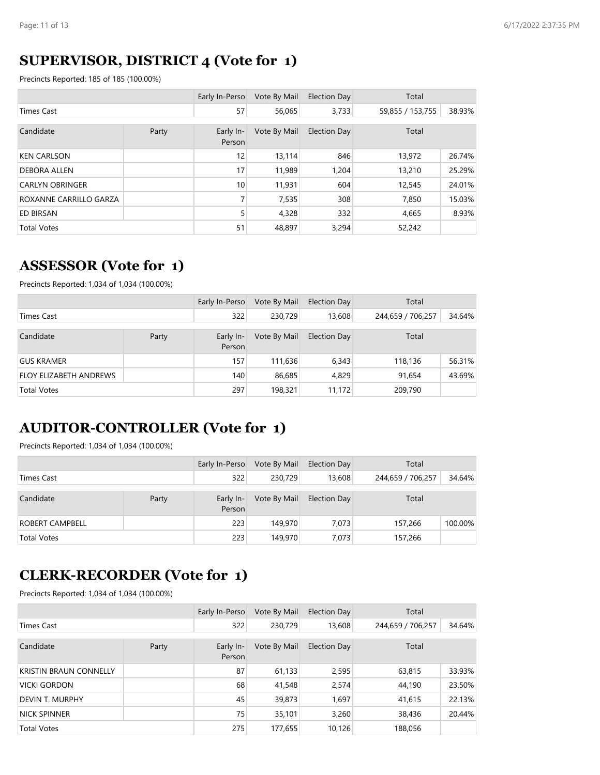## **SUPERVISOR, DISTRICT 4 (Vote for 1)**

Precincts Reported: 185 of 185 (100.00%)

|                        |       | Early In-Perso      | Vote By Mail | <b>Election Day</b> | Total            |        |
|------------------------|-------|---------------------|--------------|---------------------|------------------|--------|
| Times Cast             |       | 57                  | 56,065       | 3,733               | 59,855 / 153,755 | 38.93% |
| Candidate              | Party | Early In-<br>Person | Vote By Mail | <b>Election Day</b> | Total            |        |
| <b>KEN CARLSON</b>     |       | 12                  | 13,114       | 846                 | 13,972           | 26.74% |
| <b>DEBORA ALLEN</b>    |       | 17                  | 11,989       | 1,204               | 13,210           | 25.29% |
| <b>CARLYN OBRINGER</b> |       | 10                  | 11,931       | 604                 | 12,545           | 24.01% |
| ROXANNE CARRILLO GARZA |       | 7                   | 7,535        | 308                 | 7,850            | 15.03% |
| <b>ED BIRSAN</b>       |       | 5                   | 4,328        | 332                 | 4,665            | 8.93%  |
| <b>Total Votes</b>     |       | 51                  | 48,897       | 3,294               | 52,242           |        |

#### **ASSESSOR (Vote for 1)**

Precincts Reported: 1,034 of 1,034 (100.00%)

|                               |       | Early In-Perso      | Vote By Mail | <b>Election Day</b> | Total             |        |
|-------------------------------|-------|---------------------|--------------|---------------------|-------------------|--------|
| Times Cast                    |       | 322                 | 230.729      | 13,608              | 244,659 / 706,257 | 34.64% |
| Candidate                     | Party | Early In-<br>Person | Vote By Mail | Election Day        | Total             |        |
| <b>GUS KRAMER</b>             |       | 157                 | 111.636      | 6,343               | 118,136           | 56.31% |
| <b>FLOY ELIZABETH ANDREWS</b> |       | 140                 | 86,685       | 4,829               | 91,654            | 43.69% |
| <b>Total Votes</b>            |       |                     | 198,321      | 11,172              | 209,790           |        |

### **AUDITOR-CONTROLLER (Vote for 1)**

Precincts Reported: 1,034 of 1,034 (100.00%)

|                        |       | Early In-Perso      | Vote By Mail | <b>Election Day</b> | Total             |         |
|------------------------|-------|---------------------|--------------|---------------------|-------------------|---------|
| <b>Times Cast</b>      |       | 322                 | 230,729      | 13,608              | 244,659 / 706,257 | 34.64%  |
| Candidate              | Party | Early In-<br>Person | Vote By Mail | <b>Election Day</b> | Total             |         |
| <b>ROBERT CAMPBELL</b> |       | 223                 | 149,970      | 7.073               | 157,266           | 100.00% |
| <b>Total Votes</b>     |       | 223                 | 149,970      | 7,073               | 157,266           |         |

#### **CLERK-RECORDER (Vote for 1)**

|                               |       | Early In-Perso      | Vote By Mail | Election Day        | Total             |        |
|-------------------------------|-------|---------------------|--------------|---------------------|-------------------|--------|
| Times Cast                    |       | 322                 | 230,729      | 13,608              | 244,659 / 706,257 | 34.64% |
| Candidate                     | Party | Early In-<br>Person | Vote By Mail | <b>Election Day</b> | Total             |        |
| <b>KRISTIN BRAUN CONNELLY</b> |       | 87                  | 61,133       | 2,595               | 63,815            | 33.93% |
| VICKI GORDON                  |       | 68                  | 41,548       | 2,574               | 44,190            | 23.50% |
| DEVIN T. MURPHY               |       | 45                  | 39,873       | 1,697               | 41,615            | 22.13% |
| NICK SPINNER                  |       | 75                  | 35,101       | 3,260               | 38,436            | 20.44% |
| <b>Total Votes</b>            |       | 275                 | 177,655      | 10,126              | 188,056           |        |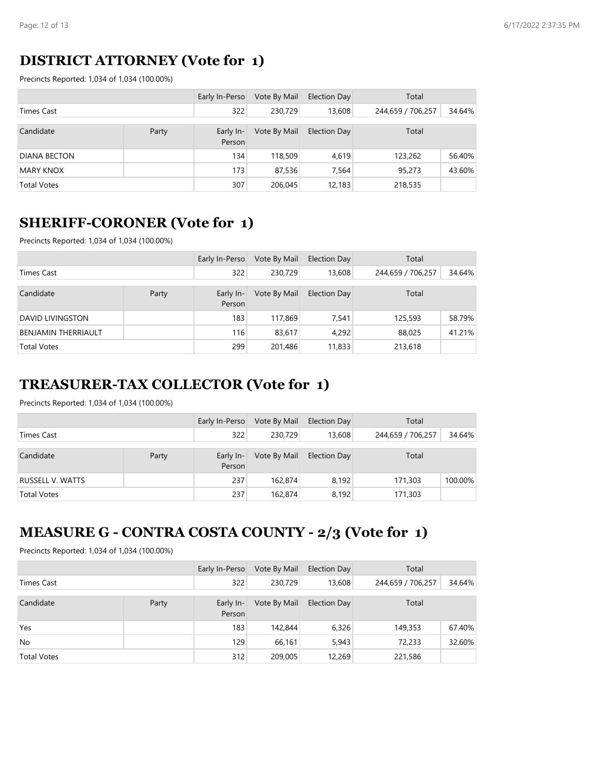## **DISTRICT ATTORNEY (Vote for 1)**

Precincts Reported: 1,034 of 1,034 (100.00%)

|                     |       | Early In-Perso      | Vote By Mail | <b>Election Day</b> | Total             |        |
|---------------------|-------|---------------------|--------------|---------------------|-------------------|--------|
| Times Cast          |       | 322                 | 230.729      | 13,608              | 244,659 / 706,257 | 34.64% |
| Candidate           | Party | Early In-<br>Person | Vote By Mail | <b>Election Day</b> | Total             |        |
| <b>DIANA BECTON</b> |       | 134                 | 118,509      | 4,619               | 123,262           | 56.40% |
| <b>MARY KNOX</b>    |       | 173                 | 87,536       | 7,564               | 95,273            | 43.60% |
| <b>Total Votes</b>  |       | 307                 | 206,045      | 12,183              | 218,535           |        |

### **SHERIFF-CORONER (Vote for 1)**

Precincts Reported: 1,034 of 1,034 (100.00%)

|                            |       | Early In-Perso      | Vote By Mail | <b>Election Day</b> | Total             |        |
|----------------------------|-------|---------------------|--------------|---------------------|-------------------|--------|
| <b>Times Cast</b>          |       | 322                 | 230,729      | 13,608              | 244,659 / 706,257 | 34.64% |
| Candidate                  | Party | Early In-<br>Person | Vote By Mail | Election Day        | Total             |        |
| DAVID LIVINGSTON           |       | 183                 | 117,869      | 7.541               | 125,593           | 58.79% |
| <b>BENJAMIN THERRIAULT</b> |       | 116                 | 83,617       | 4,292               | 88,025            | 41.21% |
| <b>Total Votes</b>         |       | 299                 | 201,486      | 11,833              | 213,618           |        |

# **TREASURER-TAX COLLECTOR (Vote for 1)**

Precincts Reported: 1,034 of 1,034 (100.00%)

|                         |       | Early In-Perso      | Vote By Mail | <b>Election Day</b> | Total             |         |
|-------------------------|-------|---------------------|--------------|---------------------|-------------------|---------|
| <b>Times Cast</b>       |       | 322                 | 230,729      | 13,608              | 244,659 / 706,257 | 34.64%  |
| Candidate               | Party | Early In-<br>Person | Vote By Mail | <b>Election Day</b> | Total             |         |
| <b>RUSSELL V. WATTS</b> |       | 237                 | 162,874      | 8.192               | 171,303           | 100.00% |
| <b>Total Votes</b>      |       | 237                 | 162,874      | 8,192               | 171,303           |         |

## **MEASURE G - CONTRA COSTA COUNTY - 2/3 (Vote for 1)**

|                    |       | Early In-Perso      | Vote By Mail | <b>Election Day</b> | Total             |        |
|--------------------|-------|---------------------|--------------|---------------------|-------------------|--------|
| <b>Times Cast</b>  |       | 322                 | 230.729      | 13,608              | 244,659 / 706,257 | 34.64% |
| Candidate          | Party | Early In-<br>Person | Vote By Mail | <b>Election Day</b> | Total             |        |
| Yes                |       | 183                 | 142,844      | 6,326               | 149,353           | 67.40% |
| No                 |       | 129                 | 66.161       | 5,943               | 72,233            | 32.60% |
| <b>Total Votes</b> |       | 312                 | 209,005      | 12,269              | 221,586           |        |